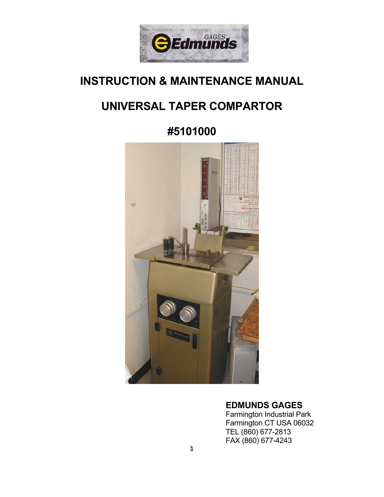

# **INSTRUCTION & MAINTENANCE MANUAL**

# **UNIVERSAL TAPER COMPARTOR**

**#5101000**



### **EDMUNDS GAGES**

 Farmington Industrial Park Farmington CT USA 06032 TEL (860) 677-2813 FAX (860) 677-4243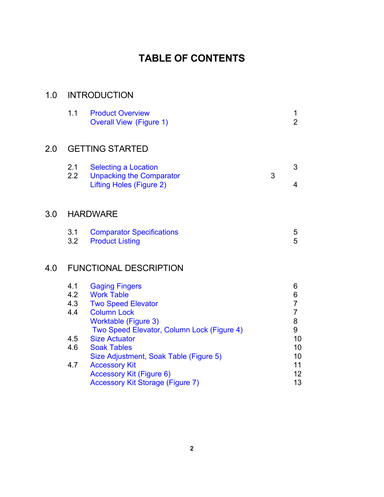# **TABLE OF CONTENTS**

## 1.0 INTRODUCTION

|     | 1.1                     | <b>Product Overview</b><br><b>Overall View (Figure 1)</b>                                  |   | 2      |
|-----|-------------------------|--------------------------------------------------------------------------------------------|---|--------|
| 2.0 |                         | <b>GETTING STARTED</b>                                                                     |   |        |
|     | 2.1<br>$2.2\phantom{0}$ | <b>Selecting a Location</b><br><b>Unpacking the Comparator</b><br>Lifting Holes (Figure 2) | 3 | 3<br>4 |

# 3.0 HARDWARE

 $2.0$ 

| 3.1 | <b>Comparator Specifications</b> |  |
|-----|----------------------------------|--|
|     | 3.2 Product Listing              |  |

# 4.0 FUNCTIONAL DESCRIPTION

| 4.1 | <b>Gaging Fingers</b>                      | 6  |
|-----|--------------------------------------------|----|
| 4.2 | <b>Work Table</b>                          | 6  |
| 4.3 | <b>Two Speed Elevator</b>                  |    |
| 4.4 | <b>Column Lock</b>                         |    |
|     | Worktable (Figure 3)                       | 8  |
|     | Two Speed Elevator, Column Lock (Figure 4) | 9  |
| 4.5 | <b>Size Actuator</b>                       | 10 |
| 4.6 | <b>Soak Tables</b>                         | 10 |
|     | Size Adjustment, Soak Table (Figure 5)     | 10 |
| 4.7 | <b>Accessory Kit</b>                       | 11 |
|     | <b>Accessory Kit (Figure 6)</b>            | 12 |
|     | <b>Accessory Kit Storage (Figure 7)</b>    | 13 |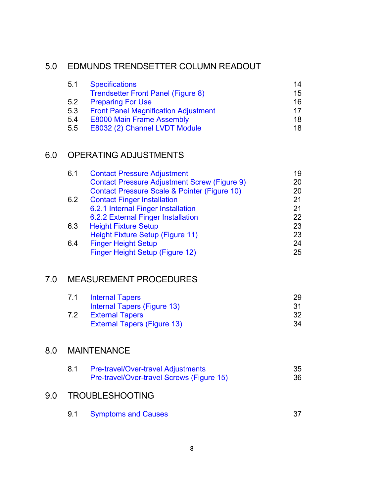## 5.0 EDMUNDS TRENDSETTER COLUMN READOUT

| 5.1 | <b>Specifications</b>                       | 14              |
|-----|---------------------------------------------|-----------------|
|     | <b>Trendsetter Front Panel (Figure 8)</b>   | 15              |
| 5.2 | <b>Preparing For Use</b>                    | 16              |
| 5.3 | <b>Front Panel Magnification Adjustment</b> | 17 <sub>1</sub> |
| 5.4 | <b>E8000 Main Frame Assembly</b>            | 18              |
| 5.5 | E8032 (2) Channel LVDT Module               | 18              |

# 6.0 OPERATING ADJUSTMENTS

| <b>Contact Pressure Adjustment</b>                      | 19 |
|---------------------------------------------------------|----|
| <b>Contact Pressure Adjustment Screw (Figure 9)</b>     | 20 |
| <b>Contact Pressure Scale &amp; Pointer (Figure 10)</b> | 20 |
| <b>Contact Finger Installation</b>                      | 21 |
| 6.2.1 Internal Finger Installation                      | 21 |
| 6.2.2 External Finger Installation                      | 22 |
| <b>Height Fixture Setup</b>                             | 23 |
| Height Fixture Setup (Figure 11)                        | 23 |
| <b>Finger Height Setup</b>                              | 24 |
| Finger Height Setup (Figure 12)                         | 25 |
|                                                         |    |

## 7.0 MEASUREMENT PROCEDURES

| 7.1 | <b>Internal Tapers</b>             | 29  |
|-----|------------------------------------|-----|
|     | Internal Tapers (Figure 13)        | .31 |
| 7.2 | <b>External Tapers</b>             | -32 |
|     | <b>External Tapers (Figure 13)</b> | .34 |

# 8.0 MAINTENANCE

| <b>Pre-travel/Over-travel Adjustments</b> | 35 |
|-------------------------------------------|----|
| Pre-travel/Over-travel Screws (Figure 15) | 36 |

## 9.0 TROUBLESHOOTING

| 9.1<br><b>Symptoms and Causes</b> |  |
|-----------------------------------|--|
|-----------------------------------|--|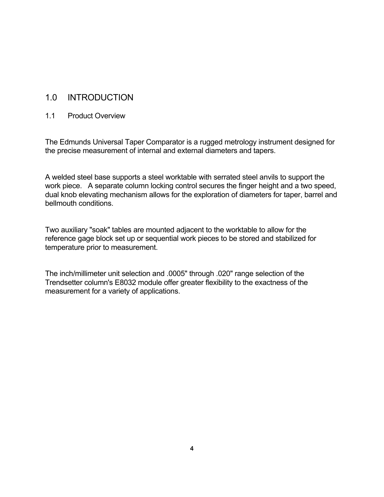### 1.0 INTRODUCTION

#### 1.1 Product Overview

The Edmunds Universal Taper Comparator is a rugged metrology instrument designed for the precise measurement of internal and external diameters and tapers.

A welded steel base supports a steel worktable with serrated steel anvils to support the work piece. A separate column locking control secures the finger height and a two speed, dual knob elevating mechanism allows for the exploration of diameters for taper, barrel and bellmouth conditions.

Two auxiliary "soak" tables are mounted adjacent to the worktable to allow for the reference gage block set up or sequential work pieces to be stored and stabilized for temperature prior to measurement.

The inch/millimeter unit selection and .0005" through .020" range selection of the Trendsetter column's E8032 module offer greater flexibility to the exactness of the measurement for a variety of applications.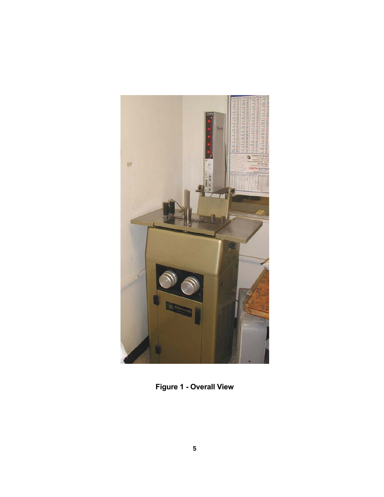

**Figure 1 - Overall View**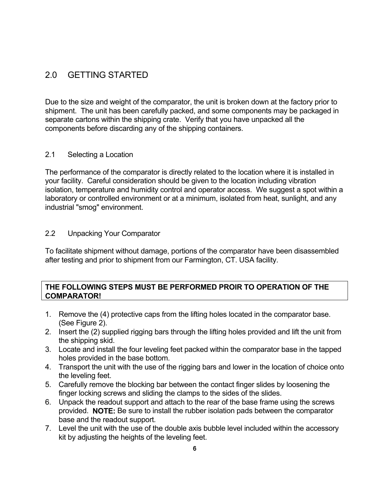# 2.0 GETTING STARTED

Due to the size and weight of the comparator, the unit is broken down at the factory prior to shipment. The unit has been carefully packed, and some components may be packaged in separate cartons within the shipping crate. Verify that you have unpacked all the components before discarding any of the shipping containers.

### 2.1 Selecting a Location

The performance of the comparator is directly related to the location where it is installed in your facility. Careful consideration should be given to the location including vibration isolation, temperature and humidity control and operator access. We suggest a spot within a laboratory or controlled environment or at a minimum, isolated from heat, sunlight, and any industrial "smog" environment.

### 2.2 Unpacking Your Comparator

To facilitate shipment without damage, portions of the comparator have been disassembled after testing and prior to shipment from our Farmington, CT. USA facility.

### **THE FOLLOWING STEPS MUST BE PERFORMED PROIR TO OPERATION OF THE COMPARATOR!**

- 1. Remove the (4) protective caps from the lifting holes located in the comparator base. (See Figure 2).
- 2. Insert the (2) supplied rigging bars through the lifting holes provided and lift the unit from the shipping skid.
- 3. Locate and install the four leveling feet packed within the comparator base in the tapped holes provided in the base bottom.
- 4. Transport the unit with the use of the rigging bars and lower in the location of choice onto the leveling feet.
- 5. Carefully remove the blocking bar between the contact finger slides by loosening the finger locking screws and sliding the clamps to the sides of the slides.
- 6. Unpack the readout support and attach to the rear of the base frame using the screws provided. **NOTE:** Be sure to install the rubber isolation pads between the comparator base and the readout support.
- 7. Level the unit with the use of the double axis bubble level included within the accessory kit by adjusting the heights of the leveling feet.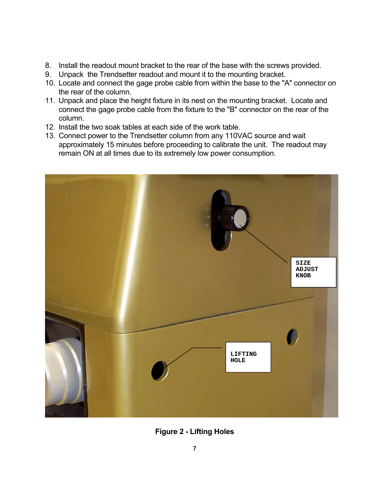- 8. Install the readout mount bracket to the rear of the base with the screws provided.
- 9. Unpack the Trendsetter readout and mount it to the mounting bracket.
- 10. Locate and connect the gage probe cable from within the base to the "A" connector on the rear of the column.
- 11. Unpack and place the height fixture in its nest on the mounting bracket. Locate and connect the gage probe cable from the fixture to the "B" connector on the rear of the column.
- 12. Install the two soak tables at each side of the work table.
- 13. Connect power to the Trendsetter column from any 110VAC source and wait approximately 15 minutes before proceeding to calibrate the unit. The readout may remain ON at all times due to its extremely low power consumption.



**Figure 2 - Lifting Holes**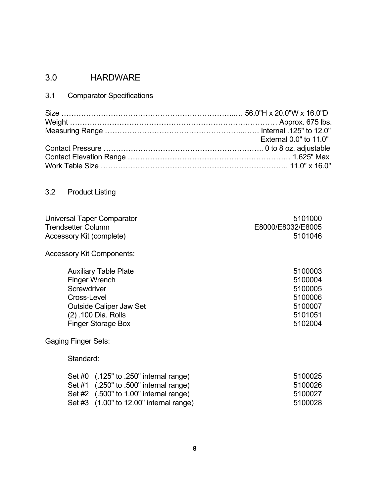# 3.0 HARDWARE

3.1 Comparator Specifications

| External 0.0" to 11.0" |
|------------------------|
|                        |
|                        |
|                        |

# 3.2 Product Listing

| <b>Universal Taper Comparator</b>       | 5101000           |
|-----------------------------------------|-------------------|
| <b>Trendsetter Column</b>               | E8000/E8032/E8005 |
| Accessory Kit (complete)                | 5101046           |
| <b>Accessory Kit Components:</b>        |                   |
| <b>Auxiliary Table Plate</b>            | 5100003           |
| <b>Finger Wrench</b>                    | 5100004           |
| Screwdriver                             | 5100005           |
| Cross-Level                             | 5100006           |
| <b>Outside Caliper Jaw Set</b>          | 5100007           |
| (2) .100 Dia. Rolls                     | 5101051           |
| <b>Finger Storage Box</b>               | 5102004           |
| <b>Gaging Finger Sets:</b>              |                   |
| Standard:                               |                   |
| Set #0 (.125" to .250" internal range)  | 5100025           |
| Set #1 (.250" to .500" internal range)  | 5100026           |
| Set #2 (.500" to 1.00" internal range)  | 5100027           |
| Set #3 (1.00" to 12.00" internal range) | 5100028           |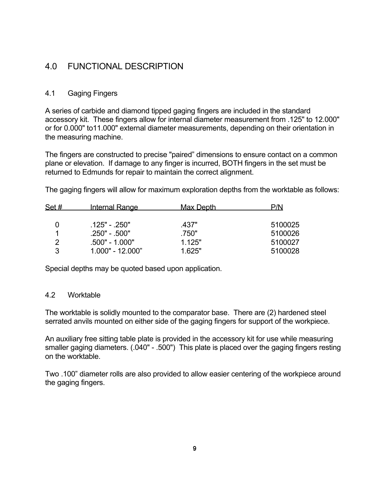### 4.0 FUNCTIONAL DESCRIPTION

### 4.1 Gaging Fingers

A series of carbide and diamond tipped gaging fingers are included in the standard accessory kit. These fingers allow for internal diameter measurement from .125" to 12.000" or for 0.000" to11.000" external diameter measurements, depending on their orientation in the measuring machine.

The fingers are constructed to precise "paired" dimensions to ensure contact on a common plane or elevation. If damage to any finger is incurred, BOTH fingers in the set must be returned to Edmunds for repair to maintain the correct alignment.

The gaging fingers will allow for maximum exploration depths from the worktable as follows:

| Set # | <b>Internal Range</b> | Max Depth | P/N     |
|-------|-----------------------|-----------|---------|
|       |                       |           |         |
|       | .125" - .250"         | 437"      | 5100025 |
|       | $.250" - .500"$       | .750"     | 5100026 |
|       | .500" - 1.000"        | 1.125"    | 5100027 |
|       | $1.000" - 12.000"$    | 1 625"    | 5100028 |

Special depths may be quoted based upon application.

#### 4.2 Worktable

The worktable is solidly mounted to the comparator base. There are (2) hardened steel serrated anvils mounted on either side of the gaging fingers for support of the workpiece.

An auxiliary free sitting table plate is provided in the accessory kit for use while measuring smaller gaging diameters. (.040" - .500") This plate is placed over the gaging fingers resting on the worktable.

Two .100" diameter rolls are also provided to allow easier centering of the workpiece around the gaging fingers.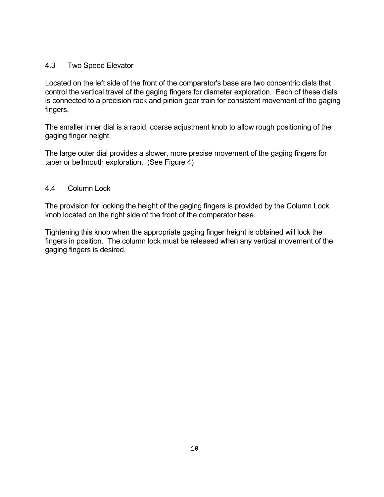#### 4.3 Two Speed Elevator

Located on the left side of the front of the comparator's base are two concentric dials that control the vertical travel of the gaging fingers for diameter exploration. Each of these dials is connected to a precision rack and pinion gear train for consistent movement of the gaging fingers.

The smaller inner dial is a rapid, coarse adjustment knob to allow rough positioning of the gaging finger height.

The large outer dial provides a slower, more precise movement of the gaging fingers for taper or bellmouth exploration. (See Figure 4)

### 4.4 Column Lock

The provision for locking the height of the gaging fingers is provided by the Column Lock knob located on the right side of the front of the comparator base.

Tightening this knob when the appropriate gaging finger height is obtained will lock the fingers in position. The column lock must be released when any vertical movement of the gaging fingers is desired.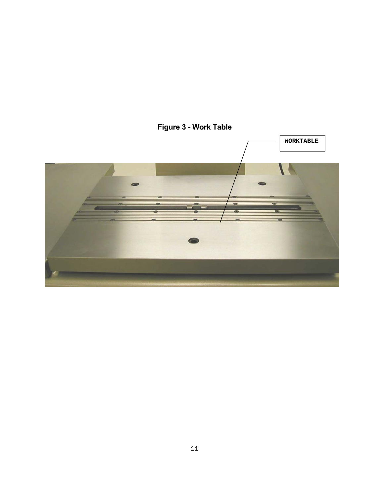

# **Figure 3 - Work Table**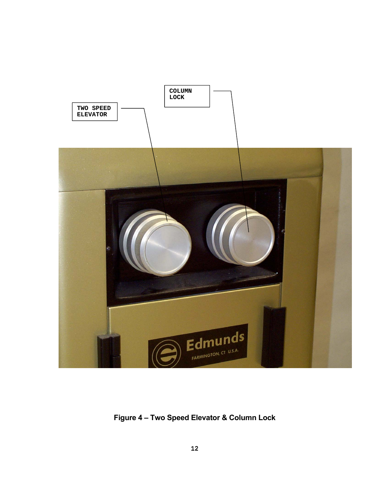

**Figure 4 – Two Speed Elevator & Column Lock**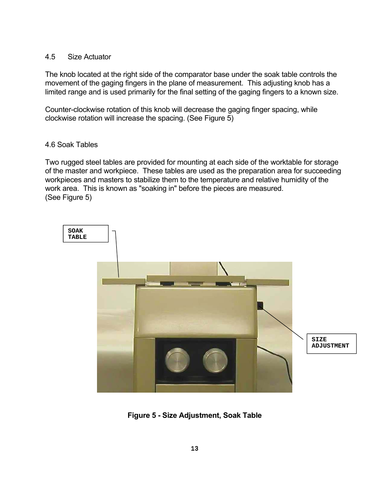#### 4.5 Size Actuator

The knob located at the right side of the comparator base under the soak table controls the movement of the gaging fingers in the plane of measurement. This adjusting knob has a limited range and is used primarily for the final setting of the gaging fingers to a known size.

Counter-clockwise rotation of this knob will decrease the gaging finger spacing, while clockwise rotation will increase the spacing. (See Figure 5)

#### 4.6 Soak Tables

Two rugged steel tables are provided for mounting at each side of the worktable for storage of the master and workpiece. These tables are used as the preparation area for succeeding workpieces and masters to stabilize them to the temperature and relative humidity of the work area. This is known as "soaking in" before the pieces are measured. (See Figure 5)



**Figure 5 - Size Adjustment, Soak Table**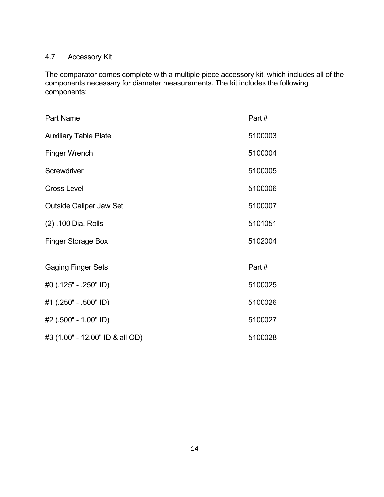### 4.7 Accessory Kit

The comparator comes complete with a multiple piece accessory kit, which includes all of the components necessary for diameter measurements. The kit includes the following components:

| <b>Part Name</b>                | Part #  |
|---------------------------------|---------|
| <b>Auxiliary Table Plate</b>    | 5100003 |
| <b>Finger Wrench</b>            | 5100004 |
| Screwdriver                     | 5100005 |
| <b>Cross Level</b>              | 5100006 |
| <b>Outside Caliper Jaw Set</b>  | 5100007 |
| (2) .100 Dia. Rolls             | 5101051 |
| <b>Finger Storage Box</b>       | 5102004 |
| <b>Gaging Finger Sets</b>       | Part #  |
| #0 (.125" - .250" ID)           | 5100025 |
| #1 (.250" - .500" ID)           | 5100026 |
| #2 (.500" - 1.00" ID)           | 5100027 |
| #3 (1.00" - 12.00" ID & all OD) | 5100028 |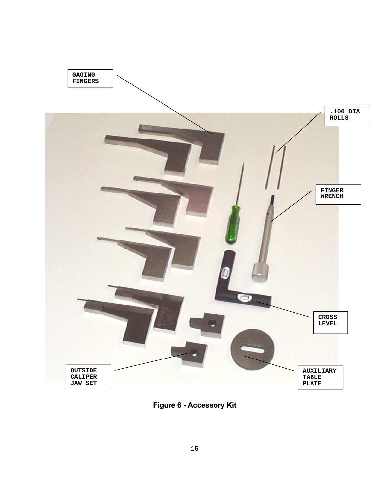

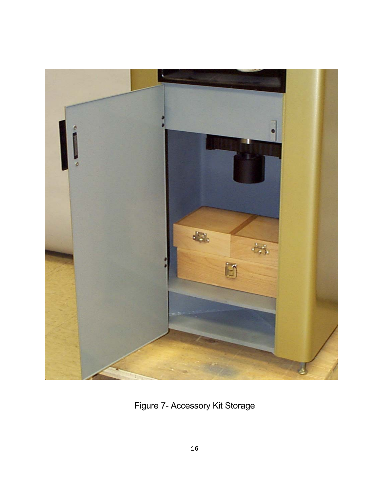

Figure 7- Accessory Kit Storage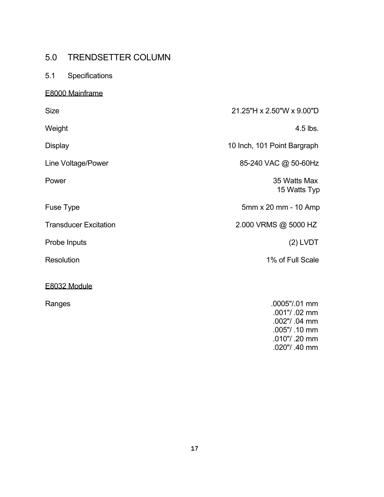# 5.0 TRENDSETTER COLUMN

### 5.1 Specifications

### E8000 Mainframe

| <b>Size</b>                  | 21.25"H x 2.50"W x 9.00"D      |
|------------------------------|--------------------------------|
| Weight                       | 4.5 lbs.                       |
| <b>Display</b>               | 10 Inch, 101 Point Bargraph    |
| Line Voltage/Power           | 85-240 VAC @ 50-60Hz           |
| Power                        | 35 Watts Max<br>15 Watts Typ   |
| Fuse Type                    | 5mm x 20 mm - 10 Amp           |
| <b>Transducer Excitation</b> | 2.000 VRMS @ 5000 HZ           |
| Probe Inputs                 | $(2)$ LVDT                     |
| Resolution                   | 1% of Full Scale               |
| E8032 Module                 |                                |
| Ranges                       | .0005"/.01 mm<br>.001"/ .02 mm |

 .002"/ .04 mm .005"/ .10 mm .010"/ .20 mm .020"/ .40 mm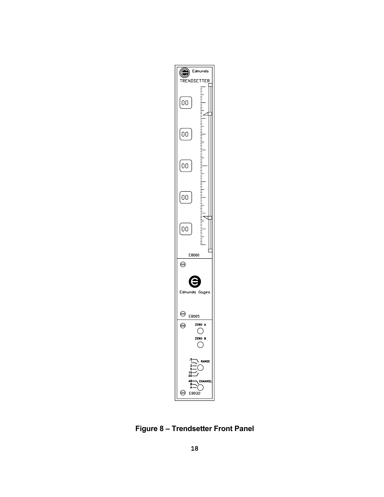

**Figure 8 – Trendsetter Front Panel**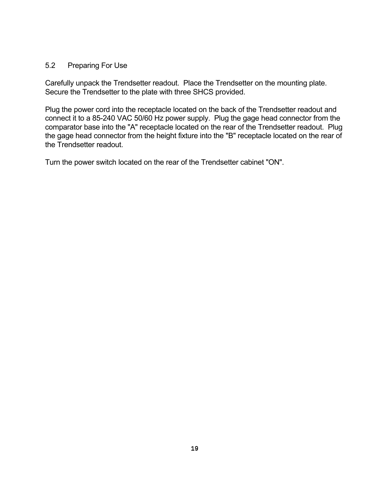#### 5.2 Preparing For Use

Carefully unpack the Trendsetter readout. Place the Trendsetter on the mounting plate. Secure the Trendsetter to the plate with three SHCS provided.

Plug the power cord into the receptacle located on the back of the Trendsetter readout and connect it to a 85-240 VAC 50/60 Hz power supply. Plug the gage head connector from the comparator base into the "A" receptacle located on the rear of the Trendsetter readout. Plug the gage head connector from the height fixture into the "B" receptacle located on the rear of the Trendsetter readout.

Turn the power switch located on the rear of the Trendsetter cabinet "ON".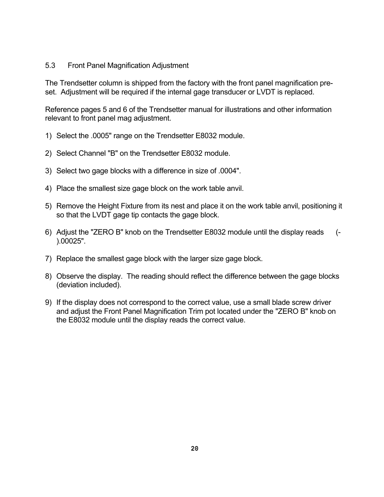#### 5.3 Front Panel Magnification Adjustment

The Trendsetter column is shipped from the factory with the front panel magnification preset. Adjustment will be required if the internal gage transducer or LVDT is replaced.

Reference pages 5 and 6 of the Trendsetter manual for illustrations and other information relevant to front panel mag adjustment.

- 1) Select the .0005" range on the Trendsetter E8032 module.
- 2) Select Channel "B" on the Trendsetter E8032 module.
- 3) Select two gage blocks with a difference in size of .0004".
- 4) Place the smallest size gage block on the work table anvil.
- 5) Remove the Height Fixture from its nest and place it on the work table anvil, positioning it so that the LVDT gage tip contacts the gage block.
- 6) Adjust the "ZERO B" knob on the Trendsetter E8032 module until the display reads (- ).00025".
- 7) Replace the smallest gage block with the larger size gage block.
- 8) Observe the display. The reading should reflect the difference between the gage blocks (deviation included).
- 9) If the display does not correspond to the correct value, use a small blade screw driver and adjust the Front Panel Magnification Trim pot located under the "ZERO B" knob on the E8032 module until the display reads the correct value.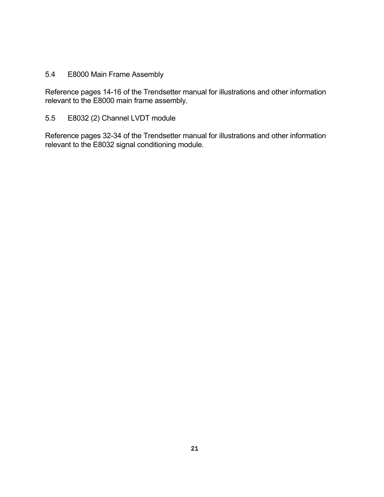### 5.4 E8000 Main Frame Assembly

Reference pages 14-16 of the Trendsetter manual for illustrations and other information relevant to the E8000 main frame assembly.

### 5.5 E8032 (2) Channel LVDT module

Reference pages 32-34 of the Trendsetter manual for illustrations and other information relevant to the E8032 signal conditioning module.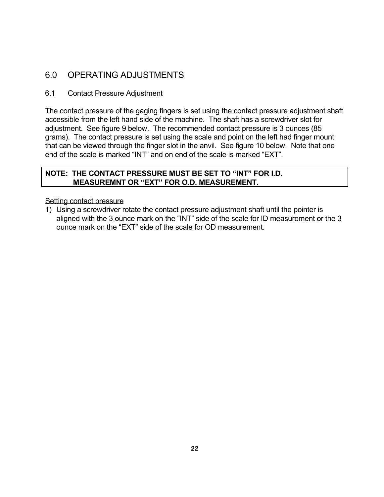# 6.0 OPERATING ADJUSTMENTS

### 6.1 Contact Pressure Adjustment

The contact pressure of the gaging fingers is set using the contact pressure adjustment shaft accessible from the left hand side of the machine. The shaft has a screwdriver slot for adjustment. See figure 9 below. The recommended contact pressure is 3 ounces (85 grams). The contact pressure is set using the scale and point on the left had finger mount that can be viewed through the finger slot in the anvil. See figure 10 below. Note that one end of the scale is marked "INT" and on end of the scale is marked "EXT".

### **NOTE: THE CONTACT PRESSURE MUST BE SET TO "INT" FOR I.D. MEASUREMNT OR "EXT" FOR O.D. MEASUREMENT.**

#### Setting contact pressure

1) Using a screwdriver rotate the contact pressure adjustment shaft until the pointer is aligned with the 3 ounce mark on the "INT" side of the scale for ID measurement or the 3 ounce mark on the "EXT" side of the scale for OD measurement.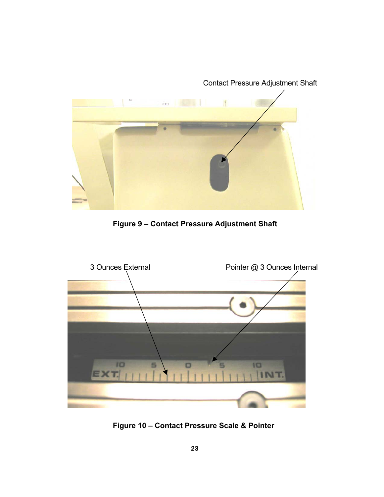

 **Figure 9 – Contact Pressure Adjustment Shaft**



 **Figure 10 – Contact Pressure Scale & Pointer**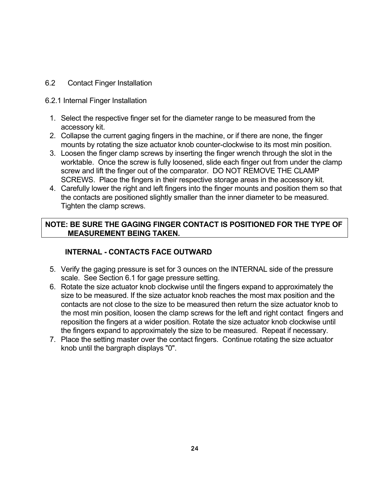6.2 Contact Finger Installation

### 6.2.1 Internal Finger Installation

- 1. Select the respective finger set for the diameter range to be measured from the accessory kit.
- 2. Collapse the current gaging fingers in the machine, or if there are none, the finger mounts by rotating the size actuator knob counter-clockwise to its most min position.
- 3. Loosen the finger clamp screws by inserting the finger wrench through the slot in the worktable. Once the screw is fully loosened, slide each finger out from under the clamp screw and lift the finger out of the comparator. DO NOT REMOVE THE CLAMP SCREWS. Place the fingers in their respective storage areas in the accessory kit.
- 4. Carefully lower the right and left fingers into the finger mounts and position them so that the contacts are positioned slightly smaller than the inner diameter to be measured. Tighten the clamp screws.

### **NOTE: BE SURE THE GAGING FINGER CONTACT IS POSITIONED FOR THE TYPE OF MEASUREMENT BEING TAKEN.**

### **INTERNAL - CONTACTS FACE OUTWARD**

- 5. Verify the gaging pressure is set for 3 ounces on the INTERNAL side of the pressure scale. See Section 6.1 for gage pressure setting.
- 6. Rotate the size actuator knob clockwise until the fingers expand to approximately the size to be measured. If the size actuator knob reaches the most max position and the contacts are not close to the size to be measured then return the size actuator knob to the most min position, loosen the clamp screws for the left and right contact fingers and reposition the fingers at a wider position. Rotate the size actuator knob clockwise until the fingers expand to approximately the size to be measured. Repeat if necessary.
- 7. Place the setting master over the contact fingers. Continue rotating the size actuator knob until the bargraph displays "0".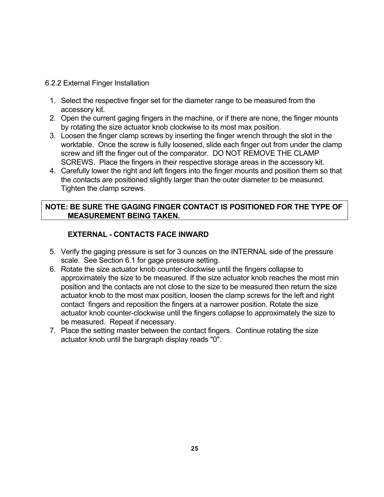#### 6.2.2 External Finger Installation

- 1. Select the respective finger set for the diameter range to be measured from the accessory kit.
- 2. Open the current gaging fingers in the machine, or if there are none, the finger mounts by rotating the size actuator knob clockwise to its most max position.
- 3. Loosen the finger clamp screws by inserting the finger wrench through the slot in the worktable. Once the screw is fully loosened, slide each finger out from under the clamp screw and lift the finger out of the comparator. DO NOT REMOVE THE CLAMP SCREWS. Place the fingers in their respective storage areas in the accessory kit.
- 4. Carefully lower the right and left fingers into the finger mounts and position them so that the contacts are positioned slightly larger than the outer diameter to be measured. Tighten the clamp screws.

### **NOTE: BE SURE THE GAGING FINGER CONTACT IS POSITIONED FOR THE TYPE OF MEASUREMENT BEING TAKEN.**

### **EXTERNAL - CONTACTS FACE INWARD**

- 5. Verify the gaging pressure is set for 3 ounces on the INTERNAL side of the pressure scale. See Section 6.1 for gage pressure setting.
- 6. Rotate the size actuator knob counter-clockwise until the fingers collapse to approximately the size to be measured. If the size actuator knob reaches the most min position and the contacts are not close to the size to be measured then return the size actuator knob to the most max position, loosen the clamp screws for the left and right contact fingers and reposition the fingers at a narrower position. Rotate the size actuator knob counter-clockwise until the fingers collapse to approximately the size to be measured. Repeat if necessary.
- 7. Place the setting master between the contact fingers. Continue rotating the size actuator knob until the bargraph display reads "0".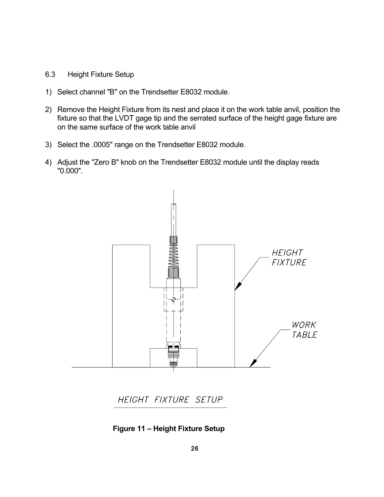- 6.3 Height Fixture Setup
- 1) Select channel "B" on the Trendsetter E8032 module.
- 2) Remove the Height Fixture from its nest and place it on the work table anvil, position the fixture so that the LVDT gage tip and the serrated surface of the height gage fixture are on the same surface of the work table anvil
- 3) Select the .0005" range on the Trendsetter E8032 module.
- 4) Adjust the "Zero B" knob on the Trendsetter E8032 module until the display reads "0.000".



HEIGHT FIXTURE SETUP

**Figure 11 – Height Fixture Setup**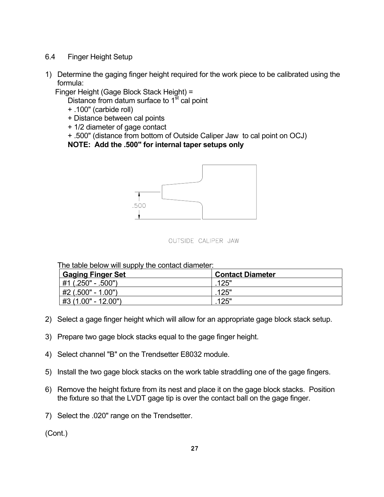- 6.4 Finger Height Setup
- 1) Determine the gaging finger height required for the work piece to be calibrated using the formula:

Finger Height (Gage Block Stack Height) =

Distance from datum surface to  $1<sup>st</sup>$  cal point

- + .100" (carbide roll)
- + Distance between cal points
- + 1/2 diameter of gage contact
- + .500" (distance from bottom of Outside Caliper Jaw to cal point on OCJ)

**NOTE: Add the .500" for internal taper setups only** 





The table below will supply the contact diameter:

| <b>Gaging Finger Set</b> | <b>Contact Diameter</b> |
|--------------------------|-------------------------|
| #1 (.250" - .500")       | .125"                   |
| #2 (.500" - 1.00")       | .125"                   |
| #3 (1.00" - 12.00")      | 125"                    |

- 2) Select a gage finger height which will allow for an appropriate gage block stack setup.
- 3) Prepare two gage block stacks equal to the gage finger height.
- 4) Select channel "B" on the Trendsetter E8032 module.
- 5) Install the two gage block stacks on the work table straddling one of the gage fingers.
- 6) Remove the height fixture from its nest and place it on the gage block stacks. Position the fixture so that the LVDT gage tip is over the contact ball on the gage finger.
- 7) Select the .020" range on the Trendsetter.

(Cont.)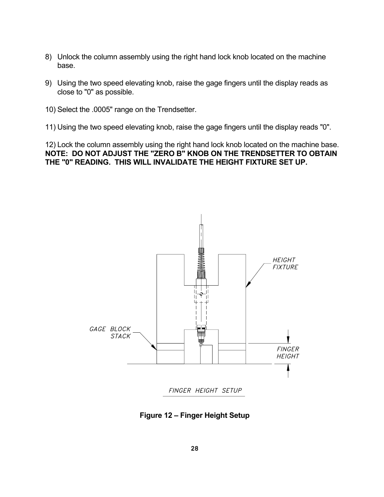- 8) Unlock the column assembly using the right hand lock knob located on the machine base.
- 9) Using the two speed elevating knob, raise the gage fingers until the display reads as close to "0" as possible.
- 10) Select the .0005" range on the Trendsetter.
- 11) Using the two speed elevating knob, raise the gage fingers until the display reads "0".

12) Lock the column assembly using the right hand lock knob located on the machine base. **NOTE: DO NOT ADJUST THE "ZERO B" KNOB ON THE TRENDSETTER TO OBTAIN THE "0" READING. THIS WILL INVALIDATE THE HEIGHT FIXTURE SET UP.** 



**Figure 12 – Finger Height Setup**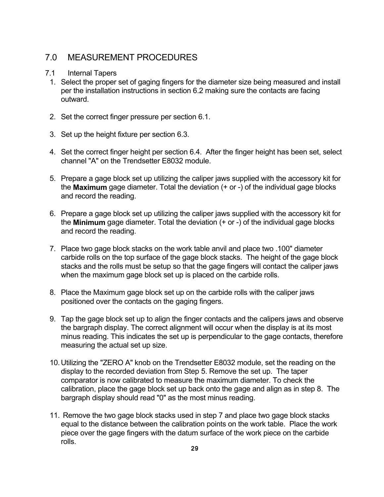### 7.0 MEASUREMENT PROCEDURES

#### 7.1 Internal Tapers

- 1. Select the proper set of gaging fingers for the diameter size being measured and install per the installation instructions in section 6.2 making sure the contacts are facing outward.
- 2. Set the correct finger pressure per section 6.1.
- 3. Set up the height fixture per section 6.3.
- 4. Set the correct finger height per section 6.4. After the finger height has been set, select channel "A" on the Trendsetter E8032 module.
- 5. Prepare a gage block set up utilizing the caliper jaws supplied with the accessory kit for the **Maximum** gage diameter. Total the deviation (+ or -) of the individual gage blocks and record the reading.
- 6. Prepare a gage block set up utilizing the caliper jaws supplied with the accessory kit for the **Minimum** gage diameter. Total the deviation (+ or -) of the individual gage blocks and record the reading.
- 7. Place two gage block stacks on the work table anvil and place two .100" diameter carbide rolls on the top surface of the gage block stacks. The height of the gage block stacks and the rolls must be setup so that the gage fingers will contact the caliper jaws when the maximum gage block set up is placed on the carbide rolls.
- 8. Place the Maximum gage block set up on the carbide rolls with the caliper jaws positioned over the contacts on the gaging fingers.
- 9. Tap the gage block set up to align the finger contacts and the calipers jaws and observe the bargraph display. The correct alignment will occur when the display is at its most minus reading. This indicates the set up is perpendicular to the gage contacts, therefore measuring the actual set up size.
- 10. Utilizing the "ZERO A" knob on the Trendsetter E8032 module, set the reading on the display to the recorded deviation from Step 5. Remove the set up. The taper comparator is now calibrated to measure the maximum diameter. To check the calibration, place the gage block set up back onto the gage and align as in step 8. The bargraph display should read "0" as the most minus reading.
- 11. Remove the two gage block stacks used in step 7 and place two gage block stacks equal to the distance between the calibration points on the work table. Place the work piece over the gage fingers with the datum surface of the work piece on the carbide rolls.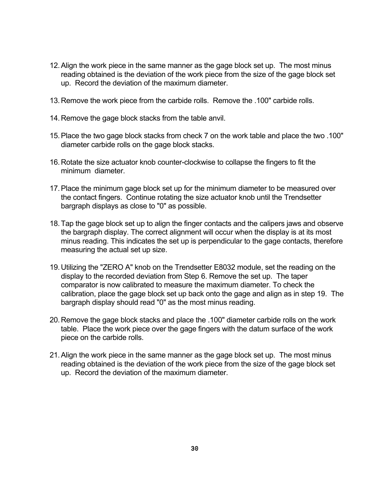- 12. Align the work piece in the same manner as the gage block set up. The most minus reading obtained is the deviation of the work piece from the size of the gage block set up. Record the deviation of the maximum diameter.
- 13. Remove the work piece from the carbide rolls. Remove the .100" carbide rolls.
- 14. Remove the gage block stacks from the table anvil.
- 15. Place the two gage block stacks from check 7 on the work table and place the two .100" diameter carbide rolls on the gage block stacks.
- 16. Rotate the size actuator knob counter-clockwise to collapse the fingers to fit the minimum diameter.
- 17. Place the minimum gage block set up for the minimum diameter to be measured over the contact fingers. Continue rotating the size actuator knob until the Trendsetter bargraph displays as close to "0" as possible.
- 18. Tap the gage block set up to align the finger contacts and the calipers jaws and observe the bargraph display. The correct alignment will occur when the display is at its most minus reading. This indicates the set up is perpendicular to the gage contacts, therefore measuring the actual set up size.
- 19. Utilizing the "ZERO A" knob on the Trendsetter E8032 module, set the reading on the display to the recorded deviation from Step 6. Remove the set up. The taper comparator is now calibrated to measure the maximum diameter. To check the calibration, place the gage block set up back onto the gage and align as in step 19. The bargraph display should read "0" as the most minus reading.
- 20. Remove the gage block stacks and place the .100" diameter carbide rolls on the work table. Place the work piece over the gage fingers with the datum surface of the work piece on the carbide rolls.
- 21. Align the work piece in the same manner as the gage block set up. The most minus reading obtained is the deviation of the work piece from the size of the gage block set up. Record the deviation of the maximum diameter.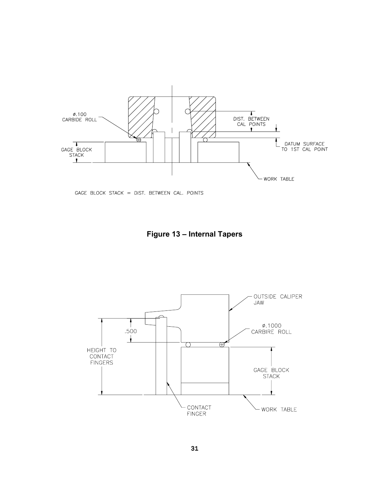

GAGE BLOCK STACK = DIST. BETWEEN CAL. POINTS

**Figure 13 – Internal Tapers** 

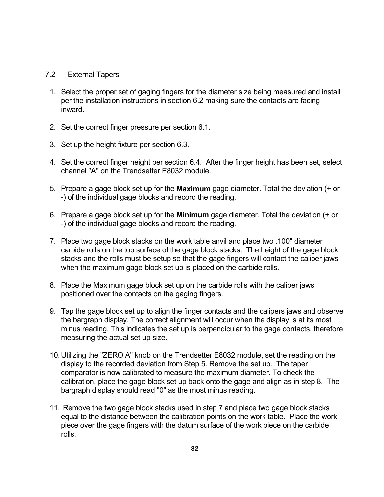#### 7.2 External Tapers

- 1. Select the proper set of gaging fingers for the diameter size being measured and install per the installation instructions in section 6.2 making sure the contacts are facing inward.
- 2. Set the correct finger pressure per section 6.1.
- 3. Set up the height fixture per section 6.3.
- 4. Set the correct finger height per section 6.4. After the finger height has been set, select channel "A" on the Trendsetter E8032 module.
- 5. Prepare a gage block set up for the **Maximum** gage diameter. Total the deviation (+ or -) of the individual gage blocks and record the reading.
- 6. Prepare a gage block set up for the **Minimum** gage diameter. Total the deviation (+ or -) of the individual gage blocks and record the reading.
- 7. Place two gage block stacks on the work table anvil and place two .100" diameter carbide rolls on the top surface of the gage block stacks. The height of the gage block stacks and the rolls must be setup so that the gage fingers will contact the caliper jaws when the maximum gage block set up is placed on the carbide rolls.
- 8. Place the Maximum gage block set up on the carbide rolls with the caliper jaws positioned over the contacts on the gaging fingers.
- 9. Tap the gage block set up to align the finger contacts and the calipers jaws and observe the bargraph display. The correct alignment will occur when the display is at its most minus reading. This indicates the set up is perpendicular to the gage contacts, therefore measuring the actual set up size.
- 10. Utilizing the "ZERO A" knob on the Trendsetter E8032 module, set the reading on the display to the recorded deviation from Step 5. Remove the set up. The taper comparator is now calibrated to measure the maximum diameter. To check the calibration, place the gage block set up back onto the gage and align as in step 8. The bargraph display should read "0" as the most minus reading.
- 11. Remove the two gage block stacks used in step 7 and place two gage block stacks equal to the distance between the calibration points on the work table. Place the work piece over the gage fingers with the datum surface of the work piece on the carbide rolls.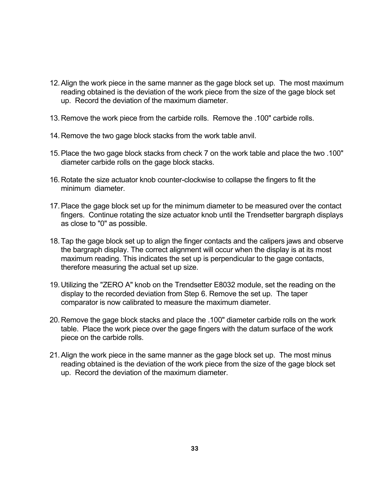- 12. Align the work piece in the same manner as the gage block set up. The most maximum reading obtained is the deviation of the work piece from the size of the gage block set up. Record the deviation of the maximum diameter.
- 13. Remove the work piece from the carbide rolls. Remove the .100" carbide rolls.
- 14. Remove the two gage block stacks from the work table anvil.
- 15. Place the two gage block stacks from check 7 on the work table and place the two .100" diameter carbide rolls on the gage block stacks.
- 16. Rotate the size actuator knob counter-clockwise to collapse the fingers to fit the minimum diameter.
- 17. Place the gage block set up for the minimum diameter to be measured over the contact fingers. Continue rotating the size actuator knob until the Trendsetter bargraph displays as close to "0" as possible.
- 18. Tap the gage block set up to align the finger contacts and the calipers jaws and observe the bargraph display. The correct alignment will occur when the display is at its most maximum reading. This indicates the set up is perpendicular to the gage contacts, therefore measuring the actual set up size.
- 19. Utilizing the "ZERO A" knob on the Trendsetter E8032 module, set the reading on the display to the recorded deviation from Step 6. Remove the set up. The taper comparator is now calibrated to measure the maximum diameter.
- 20. Remove the gage block stacks and place the .100" diameter carbide rolls on the work table. Place the work piece over the gage fingers with the datum surface of the work piece on the carbide rolls.
- 21. Align the work piece in the same manner as the gage block set up. The most minus reading obtained is the deviation of the work piece from the size of the gage block set up. Record the deviation of the maximum diameter.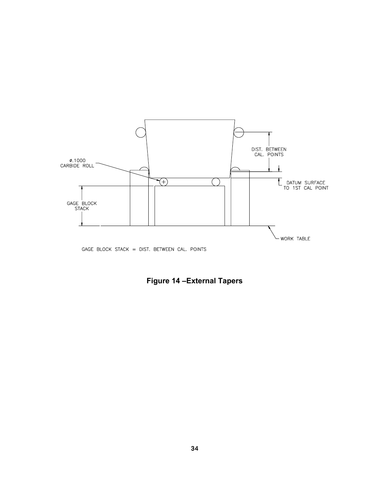

GAGE BLOCK STACK = DIST. BETWEEN CAL. POINTS

**Figure 14 –External Tapers**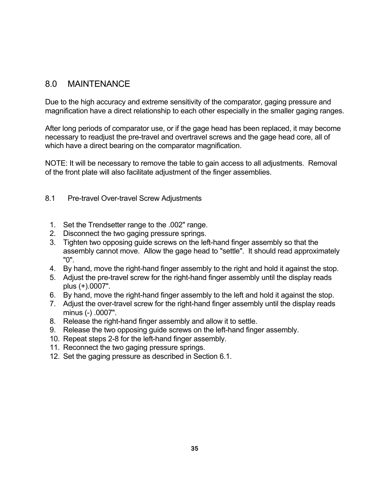### 8.0 MAINTENANCE

Due to the high accuracy and extreme sensitivity of the comparator, gaging pressure and magnification have a direct relationship to each other especially in the smaller gaging ranges.

After long periods of comparator use, or if the gage head has been replaced, it may become necessary to readjust the pre-travel and overtravel screws and the gage head core, all of which have a direct bearing on the comparator magnification.

NOTE: It will be necessary to remove the table to gain access to all adjustments. Removal of the front plate will also facilitate adjustment of the finger assemblies.

### 8.1 Pre-travel Over-travel Screw Adjustments

- 1. Set the Trendsetter range to the .002" range.
- 2. Disconnect the two gaging pressure springs.
- 3. Tighten two opposing guide screws on the left-hand finger assembly so that the assembly cannot move. Allow the gage head to "settle". It should read approximately "0".
- 4. By hand, move the right-hand finger assembly to the right and hold it against the stop.
- 5. Adjust the pre-travel screw for the right-hand finger assembly until the display reads plus (+).0007".
- 6. By hand, move the right-hand finger assembly to the left and hold it against the stop.
- 7. Adjust the over-travel screw for the right-hand finger assembly until the display reads minus (-) .0007".
- 8. Release the right-hand finger assembly and allow it to settle.
- 9. Release the two opposing guide screws on the left-hand finger assembly.
- 10. Repeat steps 2-8 for the left-hand finger assembly.
- 11. Reconnect the two gaging pressure springs.
- 12. Set the gaging pressure as described in Section 6.1.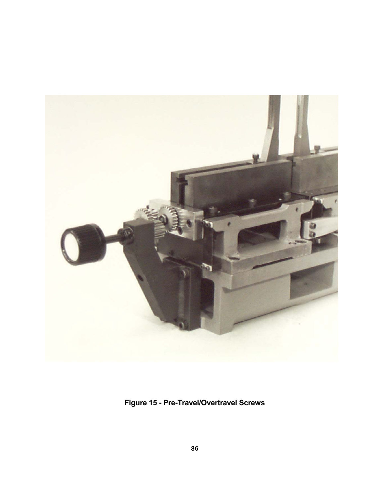

**Figure 15 - Pre-Travel/Overtravel Screws**